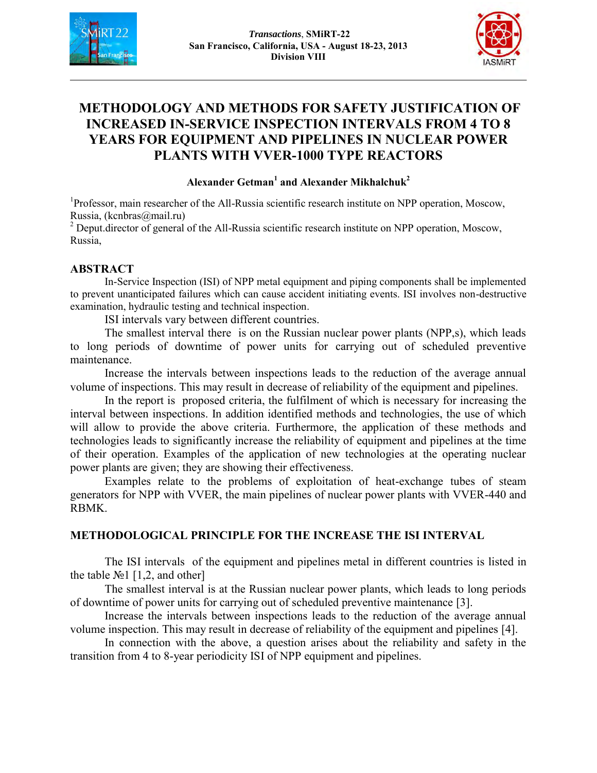



# **METHODOLOGY AND METHODS FOR SAFETY JUSTIFICATION OF INCREASED IN-SERVICE INSPECTION INTERVALS FROM 4 TO 8 YEARS FOR EQUIPMENT AND PIPELINES IN NUCLEAR POWER PLANTS WITH VVER-1000 TYPE REACTORS**

#### **Alexander Getman<sup>1</sup> and Alexander Mikhalchuk<sup>2</sup>**

<sup>1</sup>Professor, main researcher of the All-Russia scientific research institute on NPP operation, Moscow, Russia, (kcnbras@mail.ru)

<sup>2</sup> Deput.director of general of the All-Russia scientific research institute on NPP operation, Moscow, Russia,

#### **ABSTRACT**

In-Service Inspection (ISI) of NPP metal equipment and piping components shall be implemented to prevent unanticipated failures which can cause accident initiating events. ISI involves non-destructive examination, hydraulic testing and technical inspection.

ISI intervals vary between different countries.

The smallest interval there is on the Russian nuclear power plants (NPP,s), which leads to long periods of downtime of power units for carrying out of scheduled preventive maintenance.

Increase the intervals between inspections leads to the reduction of the average annual volume of inspections. This may result in decrease of reliability of the equipment and pipelines.

In the report is proposed criteria, the fulfilment of which is necessary for increasing the interval between inspections. In addition identified methods and technologies, the use of which will allow to provide the above criteria. Furthermore, the application of these methods and technologies leads to significantly increase the reliability of equipment and pipelines at the time of their operation. Examples of the application of new technologies at the operating nuclear power plants are given; they are showing their effectiveness.

Examples relate to the problems of exploitation of heat-exchange tubes of steam generators for NPP with VVER, the main pipelines of nuclear power plants with VVER-440 and RBMK.

#### **METHODOLOGICAL PRINCIPLE FOR THE INCREASE THE ISI INTERVAL**

The ISI intervals of the equipment and pipelines metal in different countries is listed in the table  $\mathbb{N}^{\circ}1$  [1,2, and other]

The smallest interval is at the Russian nuclear power plants, which leads to long periods of downtime of power units for carrying out of scheduled preventive maintenance [3].

Increase the intervals between inspections leads to the reduction of the average annual volume inspection. This may result in decrease of reliability of the equipment and pipelines [4].

In connection with the above, a question arises about the reliability and safety in the transition from 4 to 8-year periodicity ISI of NPP equipment and pipelines.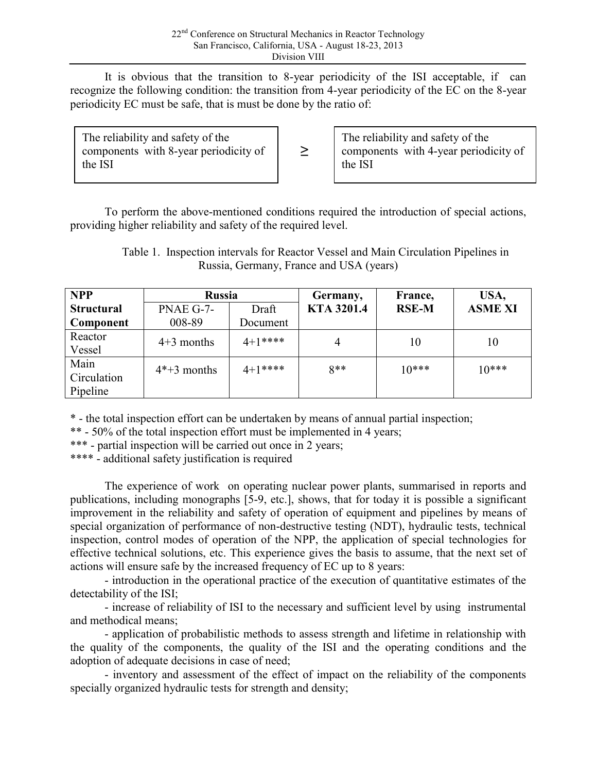It is obvious that the transition to 8-year periodicity of the ISI acceptable, if can recognize the following condition: the transition from 4-year periodicity of the EC on the 8-year periodicity EC must be safe, that is must be done by the ratio of:

| The reliability and safety of the<br>components with 8-year periodicity of<br>the ISI | $\geq$ | The reliability and safety of the<br>components with 4-year periodicity of<br>the ISI |
|---------------------------------------------------------------------------------------|--------|---------------------------------------------------------------------------------------|
|---------------------------------------------------------------------------------------|--------|---------------------------------------------------------------------------------------|

To perform the above-mentioned conditions required the introduction of special actions, providing higher reliability and safety of the required level.

 Table 1. Inspection intervals for Reactor Vessel and Main Circulation Pipelines in Russia, Germany, France and USA (years)

| <b>NPP</b>        | <b>Russia</b> |          | Germany,          | France,      | USA,           |
|-------------------|---------------|----------|-------------------|--------------|----------------|
| <b>Structural</b> | PNAE G-7-     | Draft    | <b>KTA 3201.4</b> | <b>RSE-M</b> | <b>ASME XI</b> |
| Component         | 008-89        | Document |                   |              |                |
| Reactor           | $4+3$ months  | $4+1***$ | 4                 | 10           | 10             |
| Vessel            |               |          |                   |              |                |
| Main              | $4*+3$ months | $4+1***$ | $8**$             | $10***$      | $10***$        |
| Circulation       |               |          |                   |              |                |
| Pipeline          |               |          |                   |              |                |

\* - the total inspection effort can be undertaken by means of annual partial inspection;

\*\* - 50% of the total inspection effort must be implemented in 4 years;

\*\*\* - partial inspection will be carried out once in 2 years;

\*\*\*\* - additional safety justification is required

The experience of work on operating nuclear power plants, summarised in reports and publications, including monographs [5-9, etc.], shows, that for today it is possible a significant improvement in the reliability and safety of operation of equipment and pipelines by means of special organization of performance of non-destructive testing (NDT), hydraulic tests, technical inspection, control modes of operation of the NPP, the application of special technologies for effective technical solutions, etc. This experience gives the basis to assume, that the next set of actions will ensure safe by the increased frequency of EC up to 8 years:

- introduction in the operational practice of the execution of quantitative estimates of the detectability of the ISI;

- increase of reliability of ISI to the necessary and sufficient level by using instrumental and methodical means;

- application of probabilistic methods to assess strength and lifetime in relationship with the quality of the components, the quality of the ISI and the operating conditions and the adoption of adequate decisions in case of need;

- inventory and assessment of the effect of impact on the reliability of the components specially organized hydraulic tests for strength and density;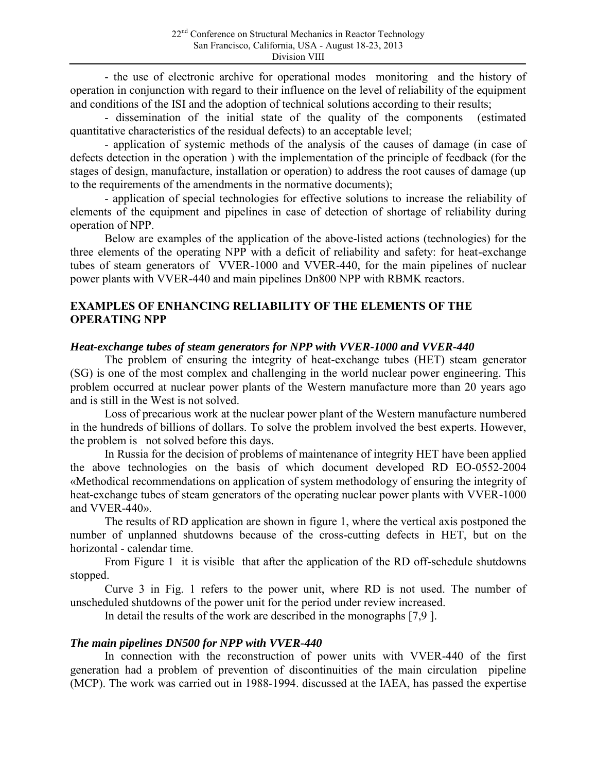- the use of electronic archive for operational modes monitoring and the history of operation in conjunction with regard to their influence on the level of reliability of the equipment and conditions of the ISI and the adoption of technical solutions according to their results;

- dissemination of the initial state of the quality of the components (estimated quantitative characteristics of the residual defects) to an acceptable level;

- application of systemic methods of the analysis of the causes of damage (in case of defects detection in the operation ) with the implementation of the principle of feedback (for the stages of design, manufacture, installation or operation) to address the root causes of damage (up to the requirements of the amendments in the normative documents);

- application of special technologies for effective solutions to increase the reliability of elements of the equipment and pipelines in case of detection of shortage of reliability during operation of NPP.

Below are examples of the application of the above-listed actions (technologies) for the three elements of the operating NPP with a deficit of reliability and safety: for heat-exchange tubes of steam generators of VVER-1000 and VVER-440, for the main pipelines of nuclear power plants with VVER-440 and main pipelines Dn800 NPP with RBMK reactors.

## **EXAMPLES OF ENHANCING RELIABILITY OF THE ELEMENTS OF THE OPERATING NPP**

#### *Heat-exchange tubes of steam generators for NPP with VVER-1000 and VVER-440*

The problem of ensuring the integrity of heat-exchange tubes (HET) steam generator (SG) is one of the most complex and challenging in the world nuclear power engineering. This problem occurred at nuclear power plants of the Western manufacture more than 20 years ago and is still in the West is not solved.

Loss of precarious work at the nuclear power plant of the Western manufacture numbered in the hundreds of billions of dollars. To solve the problem involved the best experts. However, the problem is not solved before this days.

In Russia for the decision of problems of maintenance of integrity HET have been applied the above technologies on the basis of which document developed RD EO-0552-2004 «Methodical recommendations on application of system methodology of ensuring the integrity of heat-exchange tubes of steam generators of the operating nuclear power plants with VVER-1000 and VVER-440».

The results of RD application are shown in figure 1, where the vertical axis postponed the number of unplanned shutdowns because of the cross-cutting defects in HET, but on the horizontal - calendar time.

From Figure 1 it is visible that after the application of the RD off-schedule shutdowns stopped.

Curve 3 in Fig. 1 refers to the power unit, where RD is not used. The number of unscheduled shutdowns of the power unit for the period under review increased.

In detail the results of the work are described in the monographs [7,9 ].

## *The main pipelines DN500 for NPP with VVER-440*

In connection with the reconstruction of power units with VVER-440 of the first generation had a problem of prevention of discontinuities of the main circulation pipeline (MCP). The work was carried out in 1988-1994. discussed at the IAEA, has passed the expertise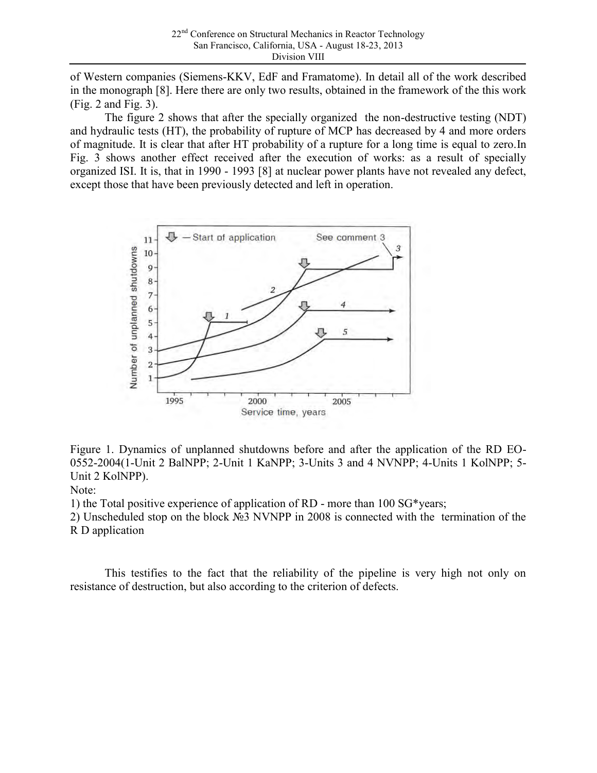of Western companies (Siemens-KKV, EdF and Framatome). In detail all of the work described in the monograph [8]. Here there are only two results, obtained in the framework of the this work (Fig. 2 and Fig. 3).

The figure 2 shows that after the specially organized the non-destructive testing (NDT) and hydraulic tests (HT), the probability of rupture of MCP has decreased by 4 and more orders of magnitude. It is clear that after HT probability of a rupture for a long time is equal to zero.In Fig. 3 shows another effect received after the execution of works: as a result of specially organized ISI. It is, that in 1990 - 1993 [8] at nuclear power plants have not revealed any defect, except those that have been previously detected and left in operation.



Figure 1. Dynamics of unplanned shutdowns before and after the application of the RD EO-0552-2004(1-Unit 2 BalNPP; 2-Unit 1 KaNPP; 3-Units 3 and 4 NVNPP; 4-Units 1 KolNPP; 5- Unit 2 KolNPP).

Note:

1) the Total positive experience of application of RD - more than 100 SG\*years;

2) Unscheduled stop on the block №3 NVNPP in 2008 is connected with the termination of the R D application

This testifies to the fact that the reliability of the pipeline is very high not only on resistance of destruction, but also according to the criterion of defects.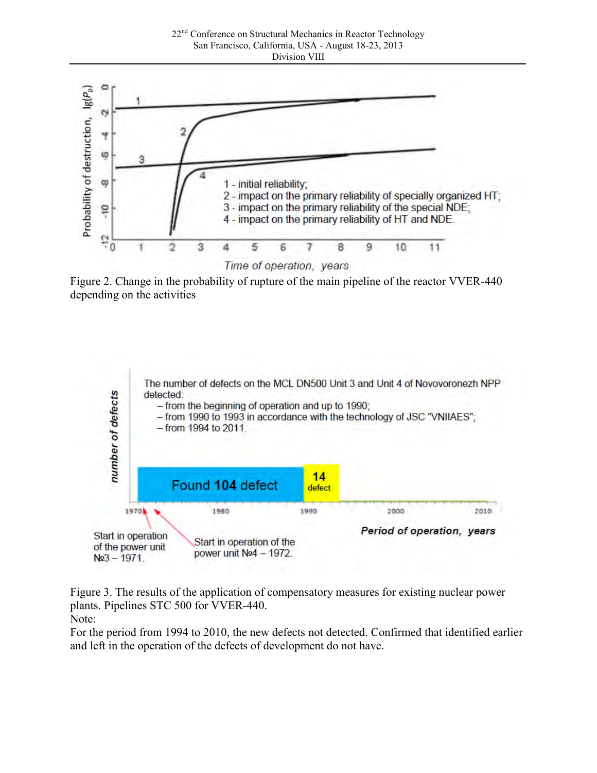





Figure 3. The results of the application of compensatory measures for existing nuclear power plants. Pipelines STC 500 for VVER-440.

Note:

For the period from 1994 to 2010, the new defects not detected. Confirmed that identified earlier and left in the operation of the defects of development do not have.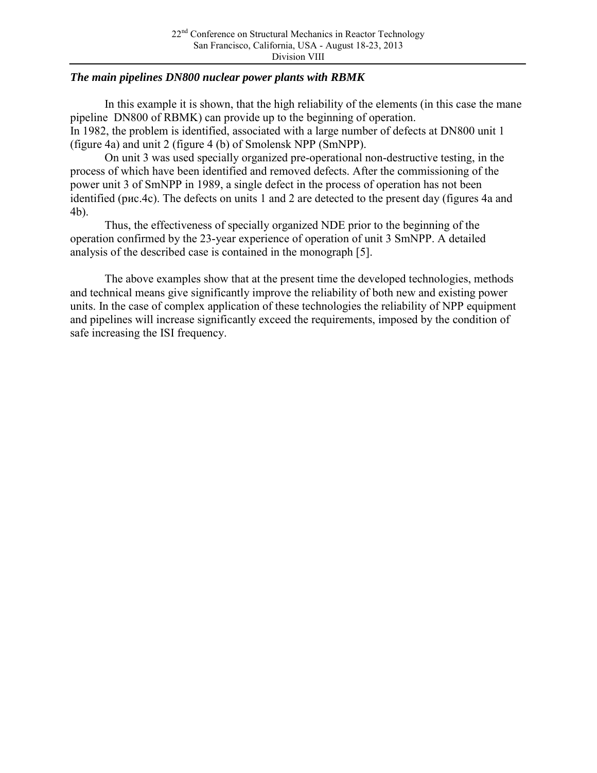## *The main pipelines DN800 nuclear power plants with RBMK*

In this example it is shown, that the high reliability of the elements (in this case the mane pipeline DN800 of RBMK) can provide up to the beginning of operation. In 1982, the problem is identified, associated with a large number of defects at DN800 unit 1 (figure 4a) and unit 2 (figure 4 (b) of Smolensk NPP (SmNPP).

On unit 3 was used specially organized pre-operational non-destructive testing, in the process of which have been identified and removed defects. After the commissioning of the power unit 3 of SmNPP in 1989, a single defect in the process of operation has not been identified (рис.4c). The defects on units 1 and 2 are detected to the present day (figures 4a and 4b).

Thus, the effectiveness of specially organized NDE prior to the beginning of the operation confirmed by the 23-year experience of operation of unit 3 SmNPP. A detailed analysis of the described case is contained in the monograph [5].

The above examples show that at the present time the developed technologies, methods and technical means give significantly improve the reliability of both new and existing power units. In the case of complex application of these technologies the reliability of NPP equipment and pipelines will increase significantly exceed the requirements, imposed by the condition of safe increasing the ISI frequency.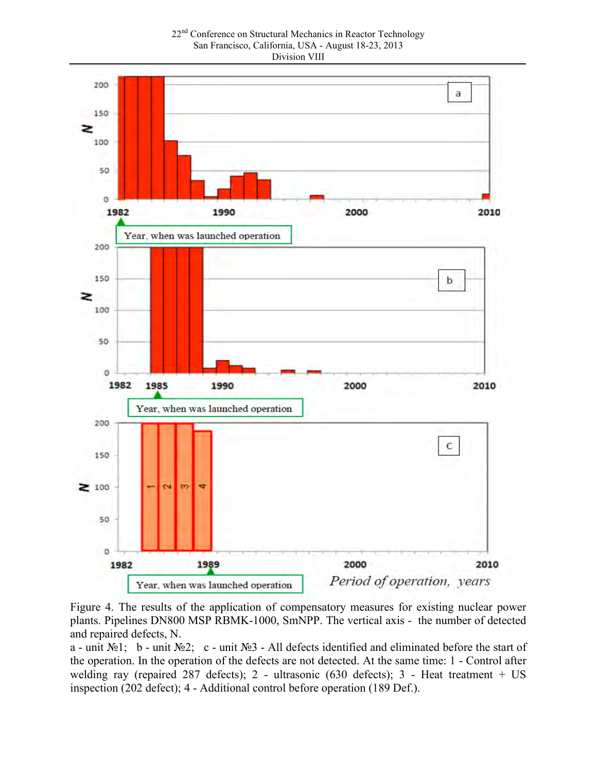22<sup>nd</sup> Conference on Structural Mechanics in Reactor Technology San Francisco, California, USA - August 18-23, 2013 Division VIII



Figure 4. The results of the application of compensatory measures for existing nuclear power plants. Pipelines DN800 MSP RBMK-1000, SmNPP. The vertical axis - the number of detected and repaired defects, N.

a - unit №1; b - unit №2; c - unit №3 - All defects identified and eliminated before the start of the operation. In the operation of the defects are not detected. At the same time: 1 - Control after welding ray (repaired 287 defects); 2 - ultrasonic (630 defects); 3 - Heat treatment + US inspection (202 defect); 4 - Additional control before operation (189 Def.).